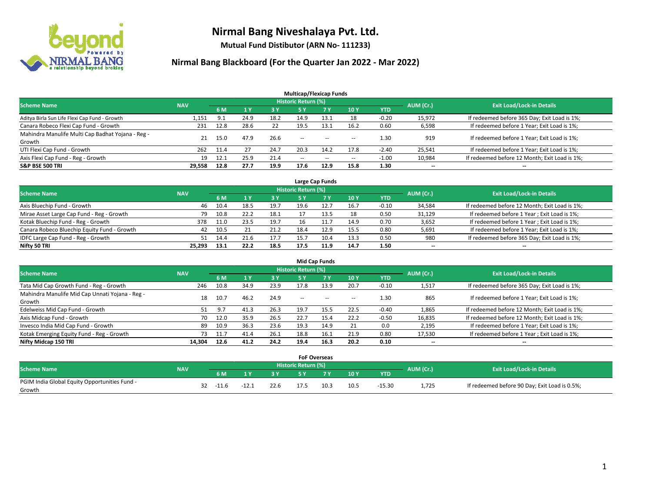

**Mutual Fund Distibutor (ARN No- 111233)**

| <b>Multicap/Flexicap Funds</b>                    |            |      |      |      |                          |           |                          |            |                          |                                               |  |  |  |
|---------------------------------------------------|------------|------|------|------|--------------------------|-----------|--------------------------|------------|--------------------------|-----------------------------------------------|--|--|--|
| <b>Scheme Name</b>                                | <b>NAV</b> |      |      |      | Historic Return (%)      |           |                          |            | AUM (Cr.)                | <b>Exit Load/Lock-in Details</b>              |  |  |  |
|                                                   |            | 6 M  |      | 3 Y  | <b>5 Y</b>               | <b>7Y</b> | <b>10Y</b>               | <b>YTD</b> |                          |                                               |  |  |  |
| Aditya Birla Sun Life Flexi Cap Fund - Growth     | 1,151      | 9.1  | 24.9 | 18.2 | 14.9                     | 13.1      | 18                       | $-0.20$    | 15,972                   | If redeemed before 365 Day; Exit Load is 1%;  |  |  |  |
| Canara Robeco Flexi Cap Fund - Growth             | 231        | 12.8 | 28.6 | 22   | 19.5                     | 13.1      | 16.2                     | 0.60       | 6,598                    | If redeemed before 1 Year; Exit Load is 1%;   |  |  |  |
| Mahindra Manulife Multi Cap Badhat Yojana - Reg - | 21         | 15.0 | 47.9 | 26.6 | $\sim$ $\sim$            | $-$       | --                       | 1.30       | 919                      | If redeemed before 1 Year; Exit Load is 1%;   |  |  |  |
| Growth                                            |            |      |      |      |                          |           |                          |            |                          |                                               |  |  |  |
| UTI Flexi Cap Fund - Growth                       | 262        | 11.4 | 27   | 24.7 | 20.3                     | 14.2      | 17.8                     | $-2.40$    | 25,541                   | If redeemed before 1 Year; Exit Load is 1%;   |  |  |  |
| Axis Flexi Cap Fund - Reg - Growth                | 19         | 12.1 | 25.9 | 21.4 | $\overline{\phantom{m}}$ | $\sim$    | $\overline{\phantom{a}}$ | $-1.00$    | 10,984                   | If redeemed before 12 Month; Exit Load is 1%; |  |  |  |
| <b>S&amp;P BSE 500 TRI</b>                        | 29.558     | 12.8 | 27.7 | 19.9 | 17.6                     | 12.9      | 15.8                     | 1.30       | $\overline{\phantom{a}}$ | $\overline{\phantom{a}}$                      |  |  |  |

| Large Cap Funds                             |            |      |      |      |                            |      |      |            |           |                                               |  |  |  |
|---------------------------------------------|------------|------|------|------|----------------------------|------|------|------------|-----------|-----------------------------------------------|--|--|--|
| <b>Scheme Name</b>                          | <b>NAV</b> |      |      |      | <b>Historic Return (%)</b> |      |      |            | AUM (Cr.) | <b>Exit Load/Lock-in Details</b>              |  |  |  |
|                                             |            | 6 M  |      | 3 Y  |                            |      | 10Y  | <b>YTD</b> |           |                                               |  |  |  |
| Axis Bluechip Fund - Growth                 | 46         | 10.4 | 18.5 | 19.7 | 19.6                       | 12.7 | 16.7 | $-0.10$    | 34,584    | If redeemed before 12 Month; Exit Load is 1%; |  |  |  |
| Mirae Asset Large Cap Fund - Reg - Growth   | 79         | 10.8 | 22.2 | 18.1 | 17                         | 13.5 | 18   | 0.50       | 31,129    | If redeemed before 1 Year; Exit Load is 1%;   |  |  |  |
| Kotak Bluechip Fund - Reg - Growth          | 378        | 11.0 | 23.5 | 19.7 |                            |      | 14.9 | 0.70       | 3,652     | If redeemed before 1 Year; Exit Load is 1%;   |  |  |  |
| Canara Robeco Bluechip Equity Fund - Growth | 42         | 10.5 |      | 21.2 | 18.4                       | 12.9 | 15.5 | 0.80       | 5,691     | If redeemed before 1 Year; Exit Load is 1%;   |  |  |  |
| IDFC Large Cap Fund - Reg - Growth          |            | 14.4 | 21.6 | 17.7 | 15.7                       | 10.4 | 13.3 | 0.50       | 980       | If redeemed before 365 Day; Exit Load is 1%;  |  |  |  |
| Nifty 50 TRI                                | 25.293     | 13.1 | 22.2 | 18.5 | 17.5                       | 11.9 | 14.7 | 1.50       | $- -$     | $\overline{\phantom{a}}$                      |  |  |  |

| <b>Mid Cap Funds</b>                                      |            |      |      |      |                            |           |      |            |                          |                                               |  |  |  |
|-----------------------------------------------------------|------------|------|------|------|----------------------------|-----------|------|------------|--------------------------|-----------------------------------------------|--|--|--|
| <b>Scheme Name</b>                                        | <b>NAV</b> |      |      |      | <b>Historic Return (%)</b> |           |      |            | AUM (Cr.)                | <b>Exit Load/Lock-in Details</b>              |  |  |  |
|                                                           |            | 6 M  |      | 3 Y  | 5 Y                        | <b>7Y</b> | 10Y  | <b>YTD</b> |                          |                                               |  |  |  |
| Tata Mid Cap Growth Fund - Reg - Growth                   | 246        | 10.8 | 34.9 | 23.9 | 17.8                       | 13.9      | 20.7 | $-0.10$    | 1,517                    | If redeemed before 365 Day; Exit Load is 1%;  |  |  |  |
| Mahindra Manulife Mid Cap Unnati Yojana - Reg -<br>Growth | 18         | 10.7 | 46.2 | 24.9 | $-$                        | $\sim$    | $-$  | 1.30       | 865                      | If redeemed before 1 Year; Exit Load is 1%;   |  |  |  |
| Edelweiss Mid Cap Fund - Growth                           | 51         | 9.7  | 41.3 | 26.3 | 19.7                       | 15.5      | 22.5 | $-0.40$    | 1,865                    | If redeemed before 12 Month; Exit Load is 1%; |  |  |  |
| Axis Midcap Fund - Growth                                 | 70         | 12.0 | 35.9 | 26.5 | 22.7                       | 15.4      | 22.2 | $-0.50$    | 16,835                   | If redeemed before 12 Month; Exit Load is 1%; |  |  |  |
| Invesco India Mid Cap Fund - Growth                       | 89         | 10.9 | 36.3 | 23.6 | 19.3                       | 14.9      | 21   | 0.0        | 2,195                    | If redeemed before 1 Year; Exit Load is 1%;   |  |  |  |
| Kotak Emerging Equity Fund - Reg - Growth                 | 73         | 11.7 | 41.4 | 26.1 | 18.8                       | 16.1      | 21.9 | 0.80       | 17,530                   | If redeemed before 1 Year; Exit Load is 1%;   |  |  |  |
| Nifty Midcap 150 TRI                                      | 14.304     | 12.6 | 41.2 | 24.2 | 19.4                       | 16.3      | 20.2 | 0.10       | $\overline{\phantom{a}}$ | $-$                                           |  |  |  |

|                                               |            |       |         |      | <b>FoF Overseas</b>        |      |      |          |           |                                               |
|-----------------------------------------------|------------|-------|---------|------|----------------------------|------|------|----------|-----------|-----------------------------------------------|
| <b>Scheme Name</b>                            | <b>NAV</b> |       |         |      | <b>Historic Return (%)</b> |      |      |          | AUM (Cr.) | <b>Exit Load/Lock-in Details</b>              |
|                                               |            | 6 M   | ιv      | 3V   |                            | 7 V  | 10Y  | YTD      |           |                                               |
| PGIM India Global Equity Opportunities Fund - |            | -11.6 | $-12.1$ | 22.6 | 17.5                       | 10.3 | 10.5 | $-15.30$ | 1,725     | If redeemed before 90 Day; Exit Load is 0.5%; |
| Growth                                        |            |       |         |      |                            |      |      |          |           |                                               |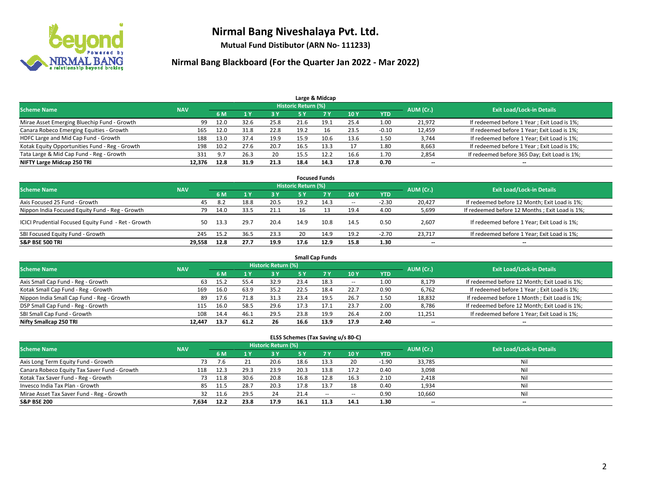

**Mutual Fund Distibutor (ARN No- 111233)**

| Large & Midcap                                 |            |      |      |      |                     |      |      |            |           |                                              |  |  |  |
|------------------------------------------------|------------|------|------|------|---------------------|------|------|------------|-----------|----------------------------------------------|--|--|--|
| <b>Scheme Name</b>                             | <b>NAV</b> |      |      |      | Historic Return (%) |      |      |            | AUM (Cr.) | <b>Exit Load/Lock-in Details</b>             |  |  |  |
|                                                |            | 6 M  |      | 3 Y  | 5 Y                 |      | 10Y  | <b>YTD</b> |           |                                              |  |  |  |
| Mirae Asset Emerging Bluechip Fund - Growth    | 99         | 12.0 | 32.6 | 25.8 | 21.6                | 19.1 | 25.4 | 1.00       | 21,972    | If redeemed before 1 Year; Exit Load is 1%;  |  |  |  |
| Canara Robeco Emerging Equities - Growth       | 165        | 12.0 | 31.8 | 22.8 | 19.2                |      | 23.5 | $-0.10$    | 12,459    | If redeemed before 1 Year; Exit Load is 1%;  |  |  |  |
| HDFC Large and Mid Cap Fund - Growth           | 188        | 13.0 | 37.4 | 19.9 | 15.9                | 10.6 | 13.6 | 1.50       | 3,744     | If redeemed before 1 Year; Exit Load is 1%;  |  |  |  |
| Kotak Equity Opportunities Fund - Reg - Growth | 198        | 10.2 | 27.6 | 20.7 | 16.5                |      |      | 1.80       | 8,663     | If redeemed before 1 Year; Exit Load is 1%;  |  |  |  |
| Tata Large & Mid Cap Fund - Reg - Growth       | 331        | 9.7  | 26.3 | 20   | 15.5                | 12.2 | 16.6 | 1.70       | 2,854     | If redeemed before 365 Day; Exit Load is 1%; |  |  |  |
| NIFTY Large Midcap 250 TRI                     | 12.376     | 12.8 | 31.9 | 21.3 | 18.4                | 14.3 | 17.8 | 0.70       | $- -$     | $\overline{\phantom{a}}$                     |  |  |  |

| <b>Focused Funds</b>                                |            |      |      |      |                            |           |        |            |           |                                                |  |  |  |
|-----------------------------------------------------|------------|------|------|------|----------------------------|-----------|--------|------------|-----------|------------------------------------------------|--|--|--|
| <b>Scheme Name</b>                                  | <b>NAV</b> |      |      |      | <b>Historic Return (%)</b> |           |        |            | AUM (Cr.) | <b>Exit Load/Lock-in Details</b>               |  |  |  |
|                                                     |            | 6 M  | 1 Y  | 3 Y  | <b>5Y</b>                  | <b>7Y</b> | 10Y    | <b>YTD</b> |           |                                                |  |  |  |
| Axis Focused 25 Fund - Growth                       | 45         | 8.2  | 18.8 | 20.5 | 19.2                       | 14.3      | $\sim$ | $-2.30$    | 20.427    | If redeemed before 12 Month; Exit Load is 1%;  |  |  |  |
| Nippon India Focused Equity Fund - Reg - Growth     | 79         | 14.0 | 33.5 | 21.1 |                            |           | 19.4   | 4.00       | 5,699     | If redeemed before 12 Months; Exit Load is 1%; |  |  |  |
| ICICI Prudential Focused Equity Fund - Ret - Growth | 50         | 13.3 | 29.7 | 20.4 | 14.9                       | 10.8      | 14.5   | 0.50       | 2,607     | If redeemed before 1 Year; Exit Load is 1%;    |  |  |  |
| SBI Focused Equity Fund - Growth                    | 245        | 15.2 | 36.5 | 23.3 | 20                         | 14.9      | 19.2   | $-2.70$    | 23.717    | If redeemed before 1 Year; Exit Load is 1%;    |  |  |  |
| <b>S&amp;P BSE 500 TRI</b>                          | 29.558     | 12.8 | 27.7 | 19.9 | 17.6                       | 12.9      | 15.8   | 1.30       | $- -$     | $\overline{\phantom{a}}$                       |  |  |  |

| <b>Small Cap Funds</b>                     |            |                                  |      |      |      |      |        |            |        |                                               |  |  |  |
|--------------------------------------------|------------|----------------------------------|------|------|------|------|--------|------------|--------|-----------------------------------------------|--|--|--|
| <b>Scheme Name</b>                         | AUM (Cr.)  | <b>Exit Load/Lock-in Details</b> |      |      |      |      |        |            |        |                                               |  |  |  |
|                                            | <b>NAV</b> | 6 M                              |      | 3 Y  | 5 Y  |      | 10Y    | <b>YTD</b> |        |                                               |  |  |  |
| Axis Small Cap Fund - Reg - Growth         | 63         | 15.2                             | 55.4 | 32.9 | 23.4 | 18.3 | $\sim$ | 1.00       | 8,179  | If redeemed before 12 Month; Exit Load is 1%; |  |  |  |
| Kotak Small Cap Fund - Reg - Growth        | 169        | 16.0                             | 63.9 | 35.2 | 22.5 | 18.4 | 22.7   | 0.90       | 6,762  | If redeemed before 1 Year; Exit Load is 1%;   |  |  |  |
| Nippon India Small Cap Fund - Reg - Growth | 89         | 17.6                             | 71.8 | 31.3 | 23.4 | 19.5 | 26.7   | 1.50       | 18,832 | If redeemed before 1 Month; Exit Load is 1%;  |  |  |  |
| DSP Small Cap Fund - Reg - Growth          | 115        | 16.0                             | 58.5 | 29.6 | 17.3 |      | 23.7   | 2.00       | 8,786  | If redeemed before 12 Month; Exit Load is 1%; |  |  |  |
| SBI Small Cap Fund - Growth                | 108        | 14.4                             | 46.1 | 29.5 | 23.8 | 19.9 | 26.4   | 2.00       | 11,251 | If redeemed before 1 Year; Exit Load is 1%;   |  |  |  |
| Nifty Smallcap 250 TRI                     | 12.447     | 13.7                             | 61.2 | 26   | 16.6 | 13.9 | 17.9   | 2.40       | $- -$  | $- -$                                         |  |  |  |

| ELSS Schemes (Tax Saving u/s 80-C)           |            |      |      |      |           |                                  |        |            |                          |       |  |  |  |
|----------------------------------------------|------------|------|------|------|-----------|----------------------------------|--------|------------|--------------------------|-------|--|--|--|
| <b>Scheme Name</b>                           | <b>NAV</b> |      |      |      | AUM (Cr.) | <b>Exit Load/Lock-in Details</b> |        |            |                          |       |  |  |  |
|                                              |            | 6 M  |      | 3 Y  | 5 Y       | <b>7Y</b>                        | 10Y    | <b>YTD</b> |                          |       |  |  |  |
| Axis Long Term Equity Fund - Growth          | 73.        |      |      | 20.6 | 18.6      | 13.3                             | 20     | $-1.90$    | 33,785                   | Nil   |  |  |  |
| Canara Robeco Equity Tax Saver Fund - Growth | 118        | 12.3 | 29.3 | 23.9 | 20.3      | 13.8                             | 17.2   | 0.40       | 3,098                    | Nil   |  |  |  |
| Kotak Tax Saver Fund - Reg - Growth          | 73         | 11.8 | 30.6 | 20.8 | 16.8      | 12.8                             | 16.3   | 2.10       | 2,418                    | Nil   |  |  |  |
| Invesco India Tax Plan - Growth              | 85         | 11.5 | 28.7 | 20.3 | 17.8      | 13.7                             | 18     | 0.40       | 1,934                    | Nil   |  |  |  |
| Mirae Asset Tax Saver Fund - Reg - Growth    | 32         | 11.6 | 29.5 | 24   | 21.4      | $\sim$                           | $\sim$ | 0.90       | 10,660                   | Nil   |  |  |  |
| <b>S&amp;P BSE 200</b>                       | 7,634      | 12.2 | 23.8 | 17.9 | 16.1      | 11.3                             | 14.1   | 1.30       | $\overline{\phantom{a}}$ | $- -$ |  |  |  |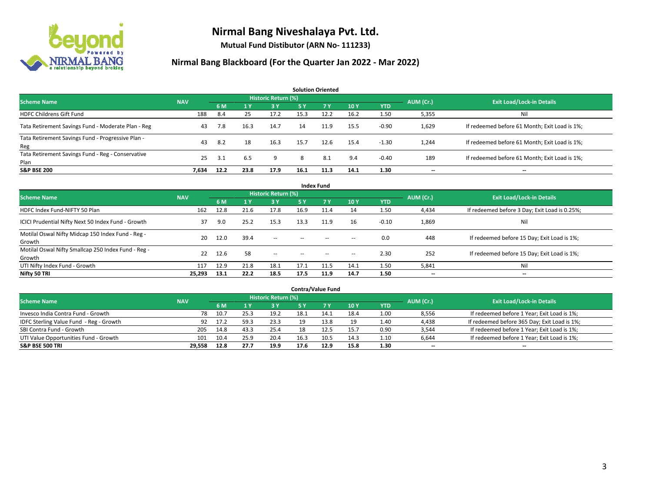

**Mutual Fund Distibutor (ARN No- 111233)**

| <b>Solution Oriented</b>                                  |            |      |      |                            |      |      |      |            |           |                                               |  |  |  |
|-----------------------------------------------------------|------------|------|------|----------------------------|------|------|------|------------|-----------|-----------------------------------------------|--|--|--|
| <b>Scheme Name</b>                                        | <b>NAV</b> |      |      | <b>Historic Return (%)</b> |      |      |      |            | AUM (Cr.) | <b>Exit Load/Lock-in Details</b>              |  |  |  |
|                                                           |            | 6 M  | 1 Y  | 3 Y                        | 5 Y  | 7 Y  | 10Y  | <b>YTD</b> |           |                                               |  |  |  |
| <b>HDFC Childrens Gift Fund</b>                           | 188        | 8.4  | 25   | 17.2                       | 15.3 | 12.2 | 16.2 | 1.50       | 5,355     | Nil                                           |  |  |  |
| Tata Retirement Savings Fund - Moderate Plan - Reg        | 43         | 7.8  | 16.3 | 14.7                       | 14   | 11.9 | 15.5 | $-0.90$    | 1,629     | If redeemed before 61 Month; Exit Load is 1%; |  |  |  |
| Tata Retirement Savings Fund - Progressive Plan -<br>Reg  | 43         | 8.2  | 18   | 16.3                       | 15.7 | 12.6 | 15.4 | $-1.30$    | 1,244     | If redeemed before 61 Month; Exit Load is 1%; |  |  |  |
| Tata Retirement Savings Fund - Reg - Conservative<br>Plan | 25         | 3.1  | 6.5  | q                          | 8    | 8.1  | 9.4  | $-0.40$    | 189       | If redeemed before 61 Month; Exit Load is 1%; |  |  |  |
| <b>S&amp;P BSE 200</b>                                    | 7.634      | 12.2 | 23.8 | 17.9                       | 16.1 | 11.3 | 14.1 | 1.30       |           | --                                            |  |  |  |

| <b>Index Fund</b>                                             |                                                         |      |      |        |        |                |                          |            |                          |                                               |  |  |  |  |  |
|---------------------------------------------------------------|---------------------------------------------------------|------|------|--------|--------|----------------|--------------------------|------------|--------------------------|-----------------------------------------------|--|--|--|--|--|
|                                                               | Historic Return (%)<br><b>Scheme Name</b><br><b>NAV</b> |      |      |        |        |                |                          |            |                          |                                               |  |  |  |  |  |
|                                                               |                                                         | 6 M  | 1Y   | 3 Y    | 5 Y    | 7 <sub>V</sub> | <b>10Y</b>               | <b>YTD</b> | AUM (Cr.)                | <b>Exit Load/Lock-in Details</b>              |  |  |  |  |  |
| HDFC Index Fund-NIFTY 50 Plan                                 | 162                                                     | 12.8 | 21.6 | 17.8   | 16.9   | 11.4           | 14                       | 1.50       | 4,434                    | If redeemed before 3 Day; Exit Load is 0.25%; |  |  |  |  |  |
| ICICI Prudential Nifty Next 50 Index Fund - Growth            | 37                                                      | 9.0  | 25.2 | 15.3   | 13.3   | 11.9           | 16                       | $-0.10$    | 1,869                    | Nil                                           |  |  |  |  |  |
| Motilal Oswal Nifty Midcap 150 Index Fund - Reg -<br>Growth   | 20                                                      | 12.0 | 39.4 | $\sim$ | $\sim$ | $\sim$         | $\overline{\phantom{a}}$ | 0.0        | 448                      | If redeemed before 15 Day; Exit Load is 1%;   |  |  |  |  |  |
| Motilal Oswal Nifty Smallcap 250 Index Fund - Reg -<br>Growth | 22                                                      | 12.6 | 58   | $\sim$ | $-$    |                | $\overline{\phantom{a}}$ | 2.30       | 252                      | If redeemed before 15 Day; Exit Load is 1%;   |  |  |  |  |  |
| UTI Nifty Index Fund - Growth                                 | 117                                                     | 12.9 | 21.8 | 18.1   | 17.1   | 11.5           | 14.1                     | 1.50       | 5,841                    | Nil                                           |  |  |  |  |  |
| Nifty 50 TRI                                                  | 25,293                                                  | 13.1 | 22.2 | 18.5   | 17.5   | 11.9           | 14.7                     | 1.50       | $\overline{\phantom{a}}$ | $\overline{\phantom{a}}$                      |  |  |  |  |  |

| <b>Contra/Value Fund</b>                |            |      |      |                            |      |      |      |      |           |                                              |  |  |  |
|-----------------------------------------|------------|------|------|----------------------------|------|------|------|------|-----------|----------------------------------------------|--|--|--|
| <b>Scheme Name</b>                      | <b>NAV</b> |      |      | <b>Historic Return (%)</b> |      |      |      |      | AUM (Cr.) | <b>Exit Load/Lock-in Details</b>             |  |  |  |
|                                         |            | 6 M  |      | 3 Y                        |      | 7 Y  | 10Y  | YTD  |           |                                              |  |  |  |
| Invesco India Contra Fund - Growth      | 78         | 10.7 | 25.3 | 19.2                       | 18.1 |      | 18.4 | 1.00 | 8,556     | If redeemed before 1 Year; Exit Load is 1%;  |  |  |  |
| IDFC Sterling Value Fund - Reg - Growth | 92         | 17.2 | 59.3 | 23.3                       | 19   | 13.8 | 19   | 1.40 | 4,438     | If redeemed before 365 Day; Exit Load is 1%; |  |  |  |
| SBI Contra Fund - Growth                | 205        | 14.8 | 43.3 | 25.4                       | 18   | 12.5 | 15.7 | 0.90 | 3,544     | If redeemed before 1 Year; Exit Load is 1%;  |  |  |  |
| UTI Value Opportunities Fund - Growth   | 101        | 10.4 | 25.9 | 20.4                       | 16.3 | 10.5 | 14.3 | 1.10 | 6,644     | If redeemed before 1 Year; Exit Load is 1%;  |  |  |  |
| <b>S&amp;P BSE 500 TRI</b>              | 29,558     | 12.8 | 27.7 | 19.9                       | 17.6 | 12.9 | 15.8 | 1.30 | $-$       | $- -$                                        |  |  |  |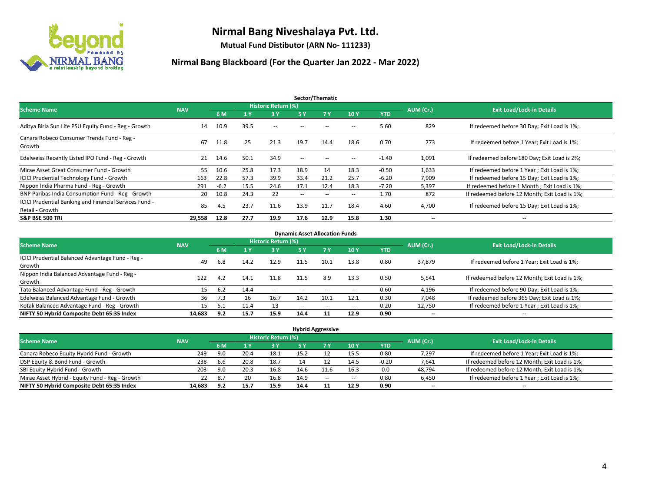

**Mutual Fund Distibutor (ARN No- 111233)**

| Sector/Thematic                                                           |            |        |      |                     |                          |        |       |            |                          |                                               |  |  |
|---------------------------------------------------------------------------|------------|--------|------|---------------------|--------------------------|--------|-------|------------|--------------------------|-----------------------------------------------|--|--|
| <b>Scheme Name</b>                                                        | <b>NAV</b> |        |      | Historic Return (%) |                          |        |       |            | AUM (Cr.)                | <b>Exit Load/Lock-in Details</b>              |  |  |
|                                                                           |            | 6 M    | 1V   | 3Y                  | 5 Y                      | 7Y     | 10Y   | <b>YTD</b> |                          |                                               |  |  |
| Aditya Birla Sun Life PSU Equity Fund - Reg - Growth                      | 14         | 10.9   | 39.5 | $\sim$ $-$          |                          |        | --    | 5.60       | 829                      | If redeemed before 30 Day; Exit Load is 1%;   |  |  |
| Canara Robeco Consumer Trends Fund - Reg -<br>Growth                      | 67         | 11.8   | 25   | 21.3                | 19.7                     | 14.4   | 18.6  | 0.70       | 773                      | If redeemed before 1 Year: Exit Load is 1%:   |  |  |
| Edelweiss Recently Listed IPO Fund - Reg - Growth                         | 21         | 14.6   | 50.1 | 34.9                | $\overline{\phantom{a}}$ |        | --    | $-1.40$    | 1,091                    | If redeemed before 180 Day; Exit Load is 2%;  |  |  |
| Mirae Asset Great Consumer Fund - Growth                                  | 55         | 10.6   | 25.8 | 17.3                | 18.9                     | 14     | 18.3  | $-0.50$    | 1,633                    | If redeemed before 1 Year; Exit Load is 1%;   |  |  |
| <b>ICICI Prudential Technology Fund - Growth</b>                          | 163        | 22.8   | 57.3 | 39.9                | 33.4                     | 21.2   | 25.7  | $-6.20$    | 7,909                    | If redeemed before 15 Day; Exit Load is 1%;   |  |  |
| Nippon India Pharma Fund - Reg - Growth                                   | 291        | $-6.2$ | 15.5 | 24.6                | 17.1                     | 12.4   | 18.3  | $-7.20$    | 5,397                    | If redeemed before 1 Month; Exit Load is 1%;  |  |  |
| BNP Paribas India Consumption Fund - Reg - Growth                         | 20         | 10.8   | 24.3 | 22                  | $\overline{\phantom{a}}$ | $\sim$ | $\!-$ | 1.70       | 872                      | If redeemed before 12 Month; Exit Load is 1%; |  |  |
| ICICI Prudential Banking and Financial Services Fund -<br>Retail - Growth | 85         | 4.5    | 23.7 | 11.6                | 13.9                     | 11.7   | 18.4  | 4.60       | 4,700                    | If redeemed before 15 Day; Exit Load is 1%;   |  |  |
| <b>S&amp;P BSE 500 TRI</b>                                                | 29,558     | 12.8   | 27.7 | 19.9                | 17.6                     | 12.9   | 15.8  | 1.30       | $\overline{\phantom{a}}$ | $\overline{\phantom{a}}$                      |  |  |

| <b>Dynamic Asset Allocation Funds</b>            |            |     |      |                     |                          |                          |                          |            |           |                                               |  |  |  |
|--------------------------------------------------|------------|-----|------|---------------------|--------------------------|--------------------------|--------------------------|------------|-----------|-----------------------------------------------|--|--|--|
| <b>Scheme Name</b>                               | <b>NAV</b> |     |      | Historic Return (%) |                          |                          |                          |            | AUM (Cr.) | <b>Exit Load/Lock-in Details</b>              |  |  |  |
|                                                  |            | 6 M |      | $-3V$               | 5 Y                      | 7 <sup>V</sup>           | 10Y                      | <b>YTD</b> |           |                                               |  |  |  |
| ICICI Prudential Balanced Advantage Fund - Reg - | 49         | 6.8 | 14.2 | 12.9                | 11.5                     | 10.1                     | 13.8                     | 0.80       | 37,879    | If redeemed before 1 Year; Exit Load is 1%;   |  |  |  |
| Growth                                           |            |     |      |                     |                          |                          |                          |            |           |                                               |  |  |  |
| Nippon India Balanced Advantage Fund - Reg -     | 122        | 4.2 | 14.1 | 11.8                | 11.5                     | 8.9                      | 13.3                     | 0.50       | 5,541     | If redeemed before 12 Month; Exit Load is 1%; |  |  |  |
| Growth                                           |            |     |      |                     |                          |                          |                          |            |           |                                               |  |  |  |
| Tata Balanced Advantage Fund - Reg - Growth      | 15         | 6.2 | 14.4 | $\sim$              | $- -$                    | $\overline{\phantom{a}}$ | $\overline{\phantom{a}}$ | 0.60       | 4,196     | If redeemed before 90 Day; Exit Load is 1%;   |  |  |  |
| Edelweiss Balanced Advantage Fund - Growth       | 36         | 7.3 | 16   | 16.7                | 14.2                     | 10.1                     | 12.1                     | 0.30       | 7,048     | If redeemed before 365 Day; Exit Load is 1%;  |  |  |  |
| Kotak Balanced Advantage Fund - Reg - Growth     | 15         | 5.1 | 11.4 |                     | $\overline{\phantom{a}}$ | $- -$                    | $\overline{\phantom{a}}$ | 0.20       | 12,750    | If redeemed before 1 Year; Exit Load is 1%;   |  |  |  |
| NIFTY 50 Hybrid Composite Debt 65:35 Index       | 14.683     | 9.2 | 15.7 | 15.9                | 14.4                     |                          | 12.9                     | 0.90       | $- -$     | $\overline{\phantom{a}}$                      |  |  |  |

| <b>Hybrid Aggressive</b>                        |            |     |      |                     |      |     |      |            |                          |                                               |  |  |  |
|-------------------------------------------------|------------|-----|------|---------------------|------|-----|------|------------|--------------------------|-----------------------------------------------|--|--|--|
| <b>Scheme Name</b>                              | <b>NAV</b> |     |      | Historic Return (%) |      |     |      |            | AUM (Cr.)                | <b>Exit Load/Lock-in Details</b>              |  |  |  |
|                                                 |            | 6 M |      | 3 Y                 | 5 Y  |     | 10Y  | <b>YTD</b> |                          |                                               |  |  |  |
| Canara Robeco Equity Hybrid Fund - Growth       | 249        | 9.0 | 20.4 | 18.1                | 15.2 |     | 15.5 | 0.80       | 7,297                    | If redeemed before 1 Year; Exit Load is 1%;   |  |  |  |
| DSP Equity & Bond Fund - Growth                 | 238        | 6.6 | 20.8 | 18.7                |      |     | 14.5 | $-0.20$    | 7,641                    | If redeemed before 12 Month; Exit Load is 1%; |  |  |  |
| SBI Equity Hybrid Fund - Growth                 | 203        | 9.0 | 20.3 | 16.8                | 14.6 |     | 16.3 | 0.0        | 48,794                   | If redeemed before 12 Month; Exit Load is 1%; |  |  |  |
| Mirae Asset Hybrid - Equity Fund - Reg - Growth | 22         | 8.7 |      | 16.8                | 14.9 | $-$ | --   | 0.80       | 6,450                    | If redeemed before 1 Year; Exit Load is 1%;   |  |  |  |
| NIFTY 50 Hybrid Composite Debt 65:35 Index      | 14.683     | 9.2 | 15.7 | 15.9                | 14.4 |     | 12.9 | 0.90       | $\overline{\phantom{a}}$ | $\overline{\phantom{a}}$                      |  |  |  |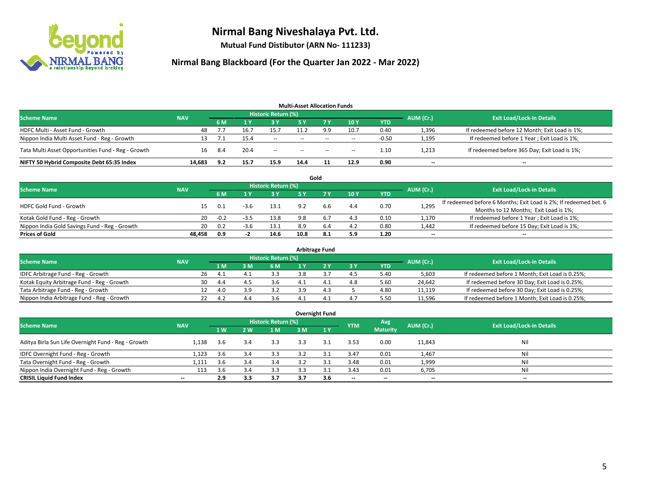

**Mutual Fund Distibutor (ARN No- 111233)**

| <b>Multi-Asset Allocation Funds</b>                |            |      |      |                            |               |        |                          |            |                          |                                               |  |  |  |
|----------------------------------------------------|------------|------|------|----------------------------|---------------|--------|--------------------------|------------|--------------------------|-----------------------------------------------|--|--|--|
| <b>Scheme Name</b>                                 | <b>NAV</b> |      |      | <b>Historic Return (%)</b> |               |        |                          |            | AUM (Cr.)                | <b>Exit Load/Lock-in Details</b>              |  |  |  |
|                                                    |            | 6 M  |      | <b>3 Y</b>                 | 5 Y           | 7 Y.   | 10Y                      | <b>YTD</b> |                          |                                               |  |  |  |
| HDFC Multi - Asset Fund - Growth                   | 48         | 7.7  | 16.7 | 15.7                       | 11.2          | 9.9    | 10.7                     | 0.40       | 1,396                    | If redeemed before 12 Month; Exit Load is 1%; |  |  |  |
| Nippon India Multi Asset Fund - Reg - Growth       | 13         |      | 15.4 | $\sim$                     | $\sim$ $\sim$ | $-$    | $\sim$                   | $-0.50$    | 1,195                    | If redeemed before 1 Year; Exit Load is 1%;   |  |  |  |
| Tata Multi Asset Opportunities Fund - Reg - Growth | 16         | -8.4 | 20.4 | $\sim$                     | $\sim$        | $\sim$ | $\overline{\phantom{a}}$ | 1.10       | 1,213                    | If redeemed before 365 Day; Exit Load is 1%;  |  |  |  |
| NIFTY 50 Hybrid Composite Debt 65:35 Index         | 14,683     | 9.2  | 15.7 | 15.9                       | 14.4          | 11     | 12.9                     | 0.90       | $\overline{\phantom{a}}$ | --                                            |  |  |  |

|                                               |            |        |        |                            |      | Gold |     |            |           |                                                                  |
|-----------------------------------------------|------------|--------|--------|----------------------------|------|------|-----|------------|-----------|------------------------------------------------------------------|
| <b>Scheme Name</b>                            | <b>NAV</b> |        |        | <b>Historic Return (%)</b> |      |      |     |            | AUM (Cr.) | <b>Exit Load/Lock-in Details</b>                                 |
|                                               |            | 6 M    |        | 3 Y                        | ς γ  |      | 10Y | <b>YTD</b> |           |                                                                  |
| <b>HDFC Gold Fund - Growth</b>                |            | 0.1    | $-3.6$ | 13.1                       | 9.2  |      | 4.4 | 0.70       | 1,295     | If redeemed before 6 Months; Exit Load is 2%; If redeemed bet. 6 |
|                                               |            |        |        |                            |      | b.b  |     |            |           | Months to 12 Months; Exit Load is 1%;                            |
| Kotak Gold Fund - Reg - Growth                | 20         | $-0.2$ | -3.5   | 13.8                       | 9.8  | 6.7  | 4.3 | 0.10       | 1,170     | If redeemed before 1 Year; Exit Load is 1%;                      |
| Nippon India Gold Savings Fund - Reg - Growth | 20         | 0.2    | -3.6   | 13.1                       | 8.9  | 6.4  | 4.2 | 0.80       | 1,442     | If redeemed before 15 Day; Exit Load is 1%;                      |
| <b>Prices of Gold</b>                         | 48.458     | 0.9    |        | 14.6                       | 10.8 | 8.1  | 5.9 | 1.20       | $- -$     | $\overline{\phantom{a}}$                                         |

| <b>Arbitrage Fund</b>                      |            |                                  |     |     |     |     |  |     |            |        |                                                 |  |  |  |
|--------------------------------------------|------------|----------------------------------|-----|-----|-----|-----|--|-----|------------|--------|-------------------------------------------------|--|--|--|
| <b>Scheme Name</b>                         | AUM (Cr.)  | <b>Exit Load/Lock-in Details</b> |     |     |     |     |  |     |            |        |                                                 |  |  |  |
|                                            | <b>NAV</b> |                                  | 1 M | : M | 6 M |     |  | 3 Y | <b>YTD</b> |        |                                                 |  |  |  |
| IDFC Arbitrage Fund - Reg - Growth         |            | 26                               | 4.1 |     | 3.3 | 3.8 |  | 4.5 | 5.40       | 5,603  | If redeemed before 1 Month; Exit Load is 0.25%; |  |  |  |
| Kotak Equity Arbitrage Fund - Reg - Growth |            | 30                               | 4.4 | 4.  | 3.b |     |  | 4.8 | 5.60       | 24.642 | If redeemed before 30 Day; Exit Load is 0.25%;  |  |  |  |
| Tata Arbitrage Fund - Reg - Growth         |            |                                  |     |     | 3.2 |     |  |     | 4.80       | 11.119 | If redeemed before 30 Day; Exit Load is 0.25%;  |  |  |  |
| Nippon India Arbitrage Fund - Reg - Growth |            |                                  | 4.2 |     |     |     |  | 4.7 | 5.50       | 11,596 | If redeemed before 1 Month; Exit Load is 0.25%; |  |  |  |

| <b>Overnight Fund</b>                               |                          |     |     |                            |     |     |                          |                 |                          |                                  |  |  |  |  |
|-----------------------------------------------------|--------------------------|-----|-----|----------------------------|-----|-----|--------------------------|-----------------|--------------------------|----------------------------------|--|--|--|--|
| <b>Scheme Name</b>                                  | <b>NAV</b>               |     |     | <b>Historic Return (%)</b> |     |     | <b>YTM</b>               | Avg             | AUM (Cr.)                | <b>Exit Load/Lock-in Details</b> |  |  |  |  |
|                                                     |                          | 1W  | 2 W | 1 M                        | 3 M | 1Y  |                          | <b>Maturity</b> |                          |                                  |  |  |  |  |
| Aditya Birla Sun Life Overnight Fund - Reg - Growth | 1.138                    | 3.6 | 3.4 | 3.3                        | 3.3 | 3.1 | 3.53                     | 0.00            | 11,843                   | Nil                              |  |  |  |  |
| IDFC Overnight Fund - Reg - Growth                  | 1,123                    | 3.6 | 3.4 | 3.3                        | 3.2 | 3.1 | 3.47                     | 0.01            | 1,467                    | Nil                              |  |  |  |  |
| Tata Overnight Fund - Reg - Growth                  | 1,111                    | 3.6 | 3.4 | 3.4                        | 3.2 |     | 3.48                     | 0.01            | 1,999                    | Nil                              |  |  |  |  |
| Nippon India Overnight Fund - Reg - Growth          | 113                      | 3.6 | 3.4 | 3.3                        |     |     | 3.43                     | 0.01            | 6,705                    | Nil                              |  |  |  |  |
| <b>CRISIL Liquid Fund Index</b>                     | $\overline{\phantom{a}}$ | 2.9 | 3.3 | 3.7                        | 3.7 | 3.6 | $\overline{\phantom{a}}$ | $- -$           | $\overline{\phantom{a}}$ | $-$                              |  |  |  |  |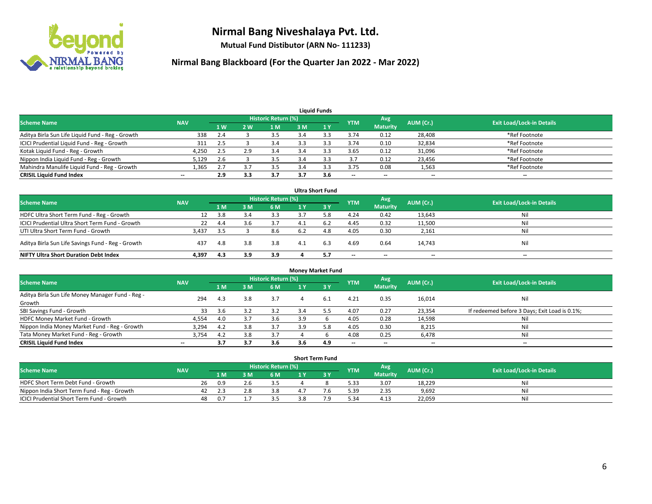

**Mutual Fund Distibutor (ARN No- 111233)**

| <b>Liquid Funds</b>                              |                          |                |     |                            |     |     |                          |                          |           |                                  |  |  |  |
|--------------------------------------------------|--------------------------|----------------|-----|----------------------------|-----|-----|--------------------------|--------------------------|-----------|----------------------------------|--|--|--|
| <b>Scheme Name</b>                               | <b>NAV</b>               |                |     | <b>Historic Return (%)</b> |     |     | <b>YTM</b>               | Avg                      | AUM (Cr.) | <b>Exit Load/Lock-in Details</b> |  |  |  |
|                                                  |                          | 1 <sub>W</sub> | 2 W | 1 M                        | 3 M |     |                          | <b>Maturity</b>          |           |                                  |  |  |  |
| Aditya Birla Sun Life Liquid Fund - Reg - Growth | 338                      | 2.4            |     | 3.5                        |     |     | 3.74                     | 0.12                     | 28,408    | *Ref Footnote                    |  |  |  |
| ICICI Prudential Liquid Fund - Reg - Growth      | 311                      | 2.5            |     | 3.4                        |     |     | 3.74                     | 0.10                     | 32,834    | *Ref Footnote                    |  |  |  |
| Kotak Liquid Fund - Reg - Growth                 | 4,250                    | 2.5            | 2.9 | 3.4                        |     |     | 3.65                     | 0.12                     | 31,096    | *Ref Footnote                    |  |  |  |
| Nippon India Liquid Fund - Reg - Growth          | 5,129                    | 2.6            |     |                            |     |     | 3.7                      | 0.12                     | 23,456    | *Ref Footnote                    |  |  |  |
| Mahindra Manulife Liquid Fund - Reg - Growth     | 1.365                    | 2.7            |     | 3.5                        |     |     | 3.75                     | 0.08                     | 1,563     | *Ref Footnote                    |  |  |  |
| <b>CRISIL Liquid Fund Index</b>                  | $\overline{\phantom{a}}$ | 2.9            | 3.3 | 3.7                        | 3.7 | 3.6 | $\overline{\phantom{a}}$ | $\overline{\phantom{a}}$ | $- -$     | $- -$                            |  |  |  |

| <b>Ultra Short Fund</b>                           |            |      |     |                            |     |           |                          |                          |           |                                  |  |  |  |
|---------------------------------------------------|------------|------|-----|----------------------------|-----|-----------|--------------------------|--------------------------|-----------|----------------------------------|--|--|--|
| <b>Scheme Name</b>                                | <b>NAV</b> |      |     | <b>Historic Return (%)</b> |     |           | <b>YTM</b>               | Avg                      | AUM (Cr.) | <b>Exit Load/Lock-in Details</b> |  |  |  |
|                                                   |            | 1 M  | 3 M | 6 M                        |     | <b>3Y</b> |                          | <b>Maturity</b>          |           |                                  |  |  |  |
| HDFC Ultra Short Term Fund - Reg - Growth         | 12         | 3.8  |     | 3.3                        |     | 5.8       | 4.24                     | 0.42                     | 13,643    | Nil                              |  |  |  |
| ICICI Prudential Ultra Short Term Fund - Growth   | 22         | 4.4  |     | 3.7                        | 4.1 | 6.2       | 4.45                     | 0.32                     | 11,500    | Nil                              |  |  |  |
| UTI Ultra Short Term Fund - Growth                | 3,437      | -3.5 |     | 8.6                        | 6.2 | 4.8       | 4.05                     | 0.30                     | 2,161     | Nil                              |  |  |  |
| Aditya Birla Sun Life Savings Fund - Reg - Growth | 437        | 4.8  | 3.8 | 3.8                        | 4.1 | -6.3      | 4.69                     | 0.64                     | 14,743    | Nil                              |  |  |  |
| <b>NIFTY Ultra Short Duration Debt Index</b>      | 4,397      | 4.3  | 3.9 | 3.9                        |     | 5.7       | $\overline{\phantom{a}}$ | $\overline{\phantom{a}}$ | $- -$     | $- -$                            |  |  |  |

| <b>Money Market Fund</b>                         |            |     |     |                            |     |     |            |                          |           |                                               |  |  |  |
|--------------------------------------------------|------------|-----|-----|----------------------------|-----|-----|------------|--------------------------|-----------|-----------------------------------------------|--|--|--|
| <b>Scheme Name</b>                               | <b>NAV</b> |     |     | <b>Historic Return (%)</b> |     |     | <b>YTM</b> | Avg                      | AUM (Cr.) | <b>Exit Load/Lock-in Details</b>              |  |  |  |
|                                                  |            | 1 M | 3 M | 6 M                        | 1 Y | 3Y  |            | <b>Maturity</b>          |           |                                               |  |  |  |
| Aditya Birla Sun Life Money Manager Fund - Reg - | 294        | 4.3 | 3.8 | 3.7                        | 4   | 6.1 | 4.21       | 0.35                     | 16,014    | Nil                                           |  |  |  |
| Growth                                           |            |     |     |                            |     |     |            |                          |           |                                               |  |  |  |
| SBI Savings Fund - Growth                        | 33         | 3.6 |     | 3.2                        | 3.4 |     | 4.07       | 0.27                     | 23,354    | If redeemed before 3 Days; Exit Load is 0.1%; |  |  |  |
| HDFC Money Market Fund - Growth                  | 4,554      | 4.0 |     | 3.6                        | 3.9 |     | 4.05       | 0.28                     | 14,598    | Nil                                           |  |  |  |
| Nippon India Money Market Fund - Reg - Growth    | 3,294      | 4.2 | 3.8 | 3.7                        | 3.9 |     | 4.05       | 0.30                     | 8,215     | Nil                                           |  |  |  |
| Tata Money Market Fund - Reg - Growth            | 3,754      | 4.2 | 3.8 | 3.7                        |     |     | 4.08       | 0.25                     | 6,478     | Nil                                           |  |  |  |
| <b>CRISIL Liquid Fund Index</b>                  | $- -$      | 3.7 | 3.7 | 3.6                        | 3.6 | 4.9 | $-$        | $\overline{\phantom{a}}$ | $- -$     | $-$                                           |  |  |  |

| <b>Short Term Fund</b>                      |            |    |       |  |                     |     |  |            |                 |           |                                  |  |  |  |
|---------------------------------------------|------------|----|-------|--|---------------------|-----|--|------------|-----------------|-----------|----------------------------------|--|--|--|
| Scheme Name                                 | <b>NAV</b> |    |       |  | Historic Return (%) |     |  | <b>YTM</b> | Avg             | AUM (Cr.) | <b>Exit Load/Lock-in Details</b> |  |  |  |
|                                             |            |    | 1 M I |  | 6 M                 |     |  |            | <b>Maturity</b> |           |                                  |  |  |  |
| HDFC Short Term Debt Fund - Growth          |            | 26 | 0.9   |  |                     |     |  | 5.33       | 3.07            | 18,229    | Nil                              |  |  |  |
| Nippon India Short Term Fund - Reg - Growth |            | 42 |       |  | 3.8                 |     |  | 5.39       | 2.35            | 9,692     | Nil                              |  |  |  |
| ICICI Prudential Short Term Fund - Growth   |            | 48 | 0.7   |  |                     | 3.Õ |  | 5.34       | 4.13            | 22.059    | Nil                              |  |  |  |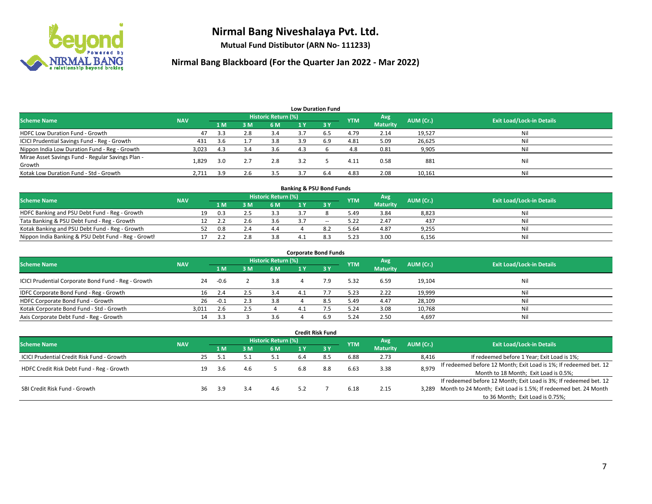

**Mutual Fund Distibutor (ARN No- 111233)**

| <b>Low Duration Fund</b>                          |            |     |     |                            |     |       |            |                 |           |                                  |  |  |  |
|---------------------------------------------------|------------|-----|-----|----------------------------|-----|-------|------------|-----------------|-----------|----------------------------------|--|--|--|
| <b>Scheme Name</b>                                | <b>NAV</b> |     |     | <b>Historic Return (%)</b> |     |       | <b>YTM</b> | Avg             | AUM (Cr.) | <b>Exit Load/Lock-in Details</b> |  |  |  |
|                                                   |            | 1 M | 3M  | 6 M                        | 1 Y | $-3V$ |            | <b>Maturity</b> |           |                                  |  |  |  |
| <b>HDFC Low Duration Fund - Growth</b>            | 47         | 3.3 | 2.8 | 3.4                        |     | 6.5   | 4.79       | 2.14            | 19,527    | Nil                              |  |  |  |
| ICICI Prudential Savings Fund - Reg - Growth      | 431        | 3.6 |     | 3.8                        | 3.9 | 6.9   | 4.81       | 5.09            | 26,625    | Nil                              |  |  |  |
| Nippon India Low Duration Fund - Reg - Growth     | 3,023      | 4.3 | 3.4 | 3.6                        | 4.3 |       | 4.8        | 0.81            | 9,905     | Nil                              |  |  |  |
| Mirae Asset Savings Fund - Regular Savings Plan - | 1.829      | 3.0 | 2.7 | 2.8                        | 3.2 |       | 4.11       | 0.58            | 881       | Nil                              |  |  |  |
| Growth                                            |            |     |     |                            |     |       |            |                 |           |                                  |  |  |  |
| Kotak Low Duration Fund - Std - Growth            | 2,711      | 3.9 | 2.6 | 3.5                        |     | 6.4   | 4.83       | 2.08            | 10,161    | Nil                              |  |  |  |

| <b>Banking &amp; PSU Bond Funds</b>                 |            |    |     |  |                     |  |        |            |                 |           |                                  |  |  |  |
|-----------------------------------------------------|------------|----|-----|--|---------------------|--|--------|------------|-----------------|-----------|----------------------------------|--|--|--|
| <b>Scheme Name</b>                                  | <b>NAV</b> |    |     |  | Historic Return (%) |  |        | <b>YTM</b> | Avg             | AUM (Cr.) | <b>Exit Load/Lock-in Details</b> |  |  |  |
|                                                     |            |    | 1 M |  | 6 M                 |  |        |            | <b>Maturity</b> |           |                                  |  |  |  |
| HDFC Banking and PSU Debt Fund - Reg - Growth       |            | 19 | 0.3 |  | 3.3                 |  |        | 5.49       | 3.84            | 8,823     | Nil                              |  |  |  |
| Tata Banking & PSU Debt Fund - Reg - Growth         |            |    |     |  | 3.6                 |  | $\sim$ | 5.22       | 2.47            | 437       | Nil                              |  |  |  |
| Kotak Banking and PSU Debt Fund - Reg - Growth      |            |    | 0.8 |  |                     |  |        | 5.64       | 4.87            | 9,255     | Nil                              |  |  |  |
| Nippon India Banking & PSU Debt Fund - Reg - Growth |            |    |     |  | 3.8                 |  |        | 5.23       | 3.00            | 6,156     | Nil                              |  |  |  |

| <b>Corporate Bond Funds</b>                         |            |        |    |                            |     |      |            |                        |           |                                  |  |
|-----------------------------------------------------|------------|--------|----|----------------------------|-----|------|------------|------------------------|-----------|----------------------------------|--|
| <b>Scheme Name</b>                                  | <b>NAV</b> |        |    | <b>Historic Return (%)</b> |     |      | <b>YTM</b> | Avg<br><b>Maturity</b> | AUM (Cr.) | <b>Exit Load/Lock-in Details</b> |  |
|                                                     |            | 1 M    | ١M | 6 M                        | 1 Y | -3 Y |            |                        |           |                                  |  |
| ICICI Prudential Corporate Bond Fund - Reg - Growth | 24         | $-0.6$ |    | 3.8                        |     | 7.9  | 5.32       | 6.59                   | 19,104    | Nil                              |  |
| IDFC Corporate Bond Fund - Reg - Growth             | 16         | 2.4    |    | 3.4                        | 4.1 |      | 5.23       | 2.22                   | 19,999    | Nil                              |  |
| HDFC Corporate Bond Fund - Growth                   | 26         | $-0.1$ |    | 3.8                        |     | 8.5  | 5.49       | 4.47                   | 28,109    | Nil                              |  |
| Kotak Corporate Bond Fund - Std - Growth            | 3,011      | 2.6    |    |                            |     |      | 5.24       | 3.08                   | 10,768    | Nil                              |  |
| Axis Corporate Debt Fund - Reg - Growth             | 14         | 3.3    |    | 3.6                        |     | 6.9  | 5.24       | 2.50                   | 4,697     | Nil                              |  |

| <b>Credit Risk Fund</b>                           |            |    |                            |     |     |     |      |            |                 |           |                                                                       |  |
|---------------------------------------------------|------------|----|----------------------------|-----|-----|-----|------|------------|-----------------|-----------|-----------------------------------------------------------------------|--|
| <b>Scheme Name</b>                                | <b>NAV</b> |    | <b>Historic Return (%)</b> |     |     |     |      |            | Avg             | AUM (Cr.) | <b>Exit Load/Lock-in Details</b>                                      |  |
|                                                   |            |    | 1 M                        | 3 M | 6 M | 1 Y | 2.3V | <b>YTM</b> | <b>Maturity</b> |           |                                                                       |  |
| <b>ICICI Prudential Credit Risk Fund - Growth</b> |            | 25 | 5.1                        |     | 5.1 | 6.4 | 8.5  | 6.88       | 2.73            | 8,416     | If redeemed before 1 Year; Exit Load is 1%;                           |  |
| HDFC Credit Risk Debt Fund - Reg - Growth         |            | 19 | 3.6                        | 4.6 |     | 6.8 | 8.8  | 6.63       | 3.38            | 8,979     | If redeemed before 12 Month; Exit Load is 1%; If redeemed bet. 12     |  |
|                                                   |            |    |                            |     |     |     |      |            |                 |           | Month to 18 Month; Exit Load is 0.5%;                                 |  |
|                                                   |            |    |                            |     |     |     |      |            |                 |           | If redeemed before 12 Month; Exit Load is 3%; If redeemed bet. 12     |  |
| SBI Credit Risk Fund - Growth                     |            | 36 | 3.9                        | 3.4 | 4.6 | 5.2 |      | 6.18       | 2.15            |           | 3,289 Month to 24 Month; Exit Load is 1.5%; If redeemed bet. 24 Month |  |
|                                                   |            |    |                            |     |     |     |      |            |                 |           | to 36 Month; Exit Load is 0.75%;                                      |  |